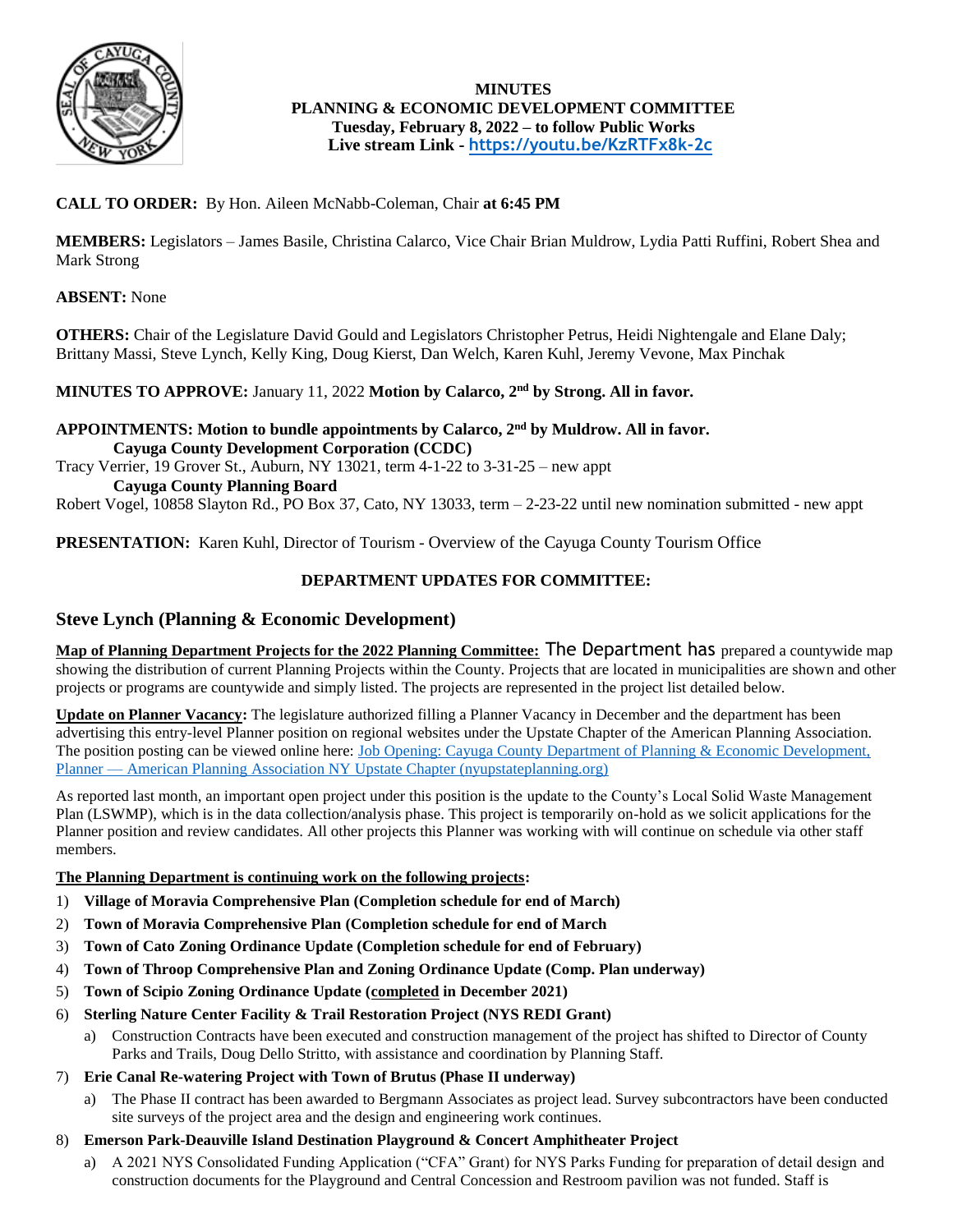

# **MINUTES PLANNING & ECONOMIC DEVELOPMENT COMMITTEE Tuesday, February 8, 2022 – to follow Public Works Live stream Link - <https://youtu.be/KzRTFx8k-2c>**

# **CALL TO ORDER:** By Hon. Aileen McNabb-Coleman, Chair **at 6:45 PM**

**MEMBERS:** Legislators – James Basile, Christina Calarco, Vice Chair Brian Muldrow, Lydia Patti Ruffini, Robert Shea and Mark Strong

# **ABSENT:** None

**OTHERS:** Chair of the Legislature David Gould and Legislators Christopher Petrus, Heidi Nightengale and Elane Daly; Brittany Massi, Steve Lynch, Kelly King, Doug Kierst, Dan Welch, Karen Kuhl, Jeremy Vevone, Max Pinchak

# **MINUTES TO APPROVE:** January 11, 2022 **Motion by Calarco, 2nd by Strong. All in favor.**

# **APPOINTMENTS: Motion to bundle appointments by Calarco, 2nd by Muldrow. All in favor. Cayuga County Development Corporation (CCDC)**

Tracy Verrier, 19 Grover St., Auburn, NY 13021, term 4-1-22 to 3-31-25 – new appt **Cayuga County Planning Board**

Robert Vogel, 10858 Slayton Rd., PO Box 37, Cato, NY 13033, term – 2-23-22 until new nomination submitted - new appt

**PRESENTATION:** Karen Kuhl, Director of Tourism - Overview of the Cayuga County Tourism Office

# **DEPARTMENT UPDATES FOR COMMITTEE:**

# **Steve Lynch (Planning & Economic Development)**

**Map of Planning Department Projects for the 2022 Planning Committee:** The Department has prepared a countywide map showing the distribution of current Planning Projects within the County. Projects that are located in municipalities are shown and other projects or programs are countywide and simply listed. The projects are represented in the project list detailed below.

**Update on Planner Vacancy:** The legislature authorized filling a Planner Vacancy in December and the department has been advertising this entry-level Planner position on regional websites under the Upstate Chapter of the American Planning Association. The position posting can be viewed online here: [Job Opening: Cayuga County Department of Planning & Economic Development,](https://www.nyupstateplanning.org/blog/2021/12/16/job-opening-cayuga-county-department-of-planning-amp-economic-development-planner)  Planner — [American Planning Association NY Upstate Chapter \(nyupstateplanning.org\)](https://www.nyupstateplanning.org/blog/2021/12/16/job-opening-cayuga-county-department-of-planning-amp-economic-development-planner)

As reported last month, an important open project under this position is the update to the County's Local Solid Waste Management Plan (LSWMP), which is in the data collection/analysis phase. This project is temporarily on-hold as we solicit applications for the Planner position and review candidates. All other projects this Planner was working with will continue on schedule via other staff members.

# **The Planning Department is continuing work on the following projects:**

- 1) **Village of Moravia Comprehensive Plan (Completion schedule for end of March)**
- 2) **Town of Moravia Comprehensive Plan (Completion schedule for end of March**
- 3) **Town of Cato Zoning Ordinance Update (Completion schedule for end of February)**
- 4) **Town of Throop Comprehensive Plan and Zoning Ordinance Update (Comp. Plan underway)**
- 5) **Town of Scipio Zoning Ordinance Update (completed in December 2021)**
- 6) **Sterling Nature Center Facility & Trail Restoration Project (NYS REDI Grant)**
	- a) Construction Contracts have been executed and construction management of the project has shifted to Director of County Parks and Trails, Doug Dello Stritto, with assistance and coordination by Planning Staff.
- 7) **Erie Canal Re-watering Project with Town of Brutus (Phase II underway)**
	- a) The Phase II contract has been awarded to Bergmann Associates as project lead. Survey subcontractors have been conducted site surveys of the project area and the design and engineering work continues.
- 8) **Emerson Park-Deauville Island Destination Playground & Concert Amphitheater Project**
	- a) A 2021 NYS Consolidated Funding Application ("CFA" Grant) for NYS Parks Funding for preparation of detail design and construction documents for the Playground and Central Concession and Restroom pavilion was not funded. Staff is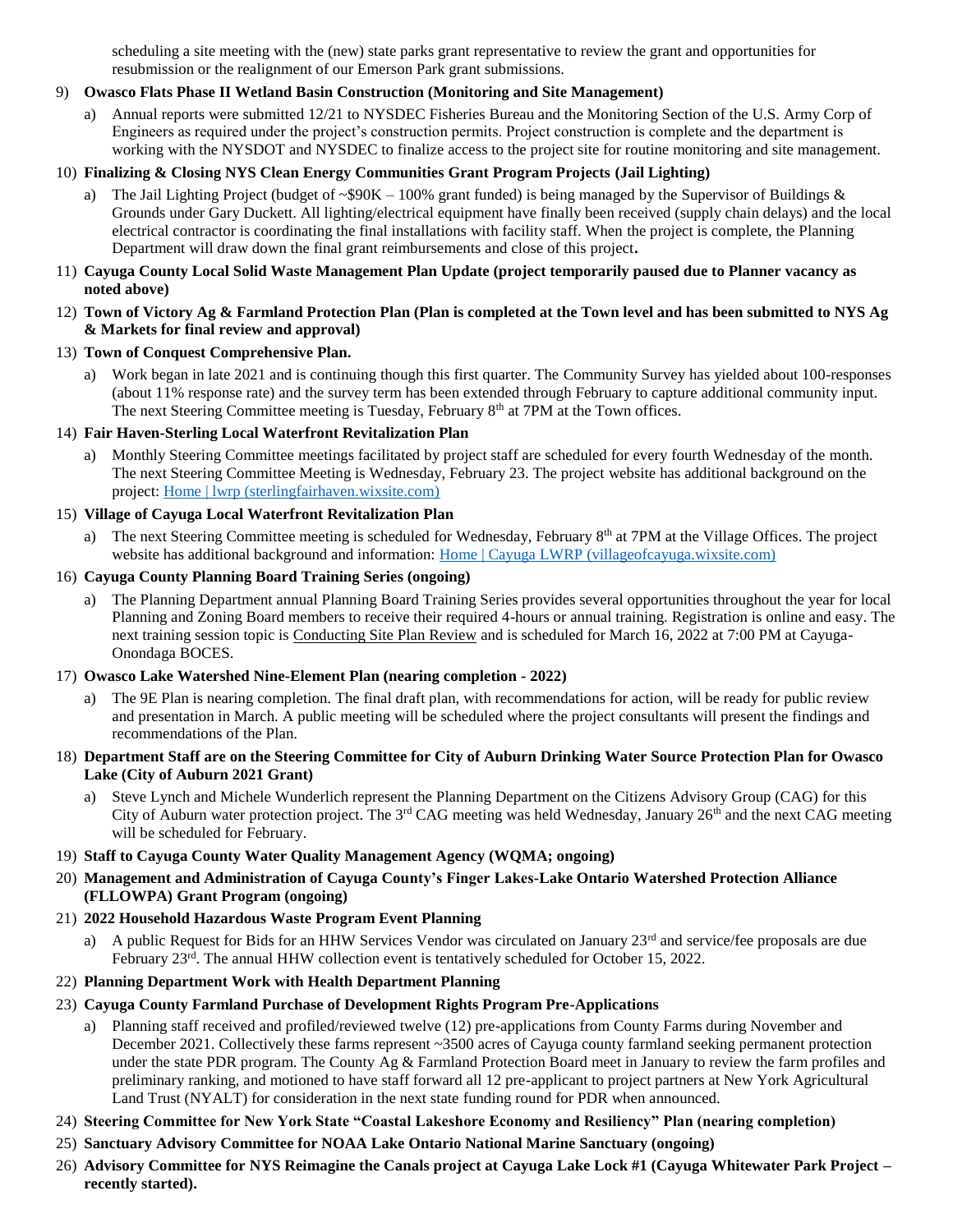scheduling a site meeting with the (new) state parks grant representative to review the grant and opportunities for resubmission or the realignment of our Emerson Park grant submissions.

### 9) **Owasco Flats Phase II Wetland Basin Construction (Monitoring and Site Management)**

a) Annual reports were submitted 12/21 to NYSDEC Fisheries Bureau and the Monitoring Section of the U.S. Army Corp of Engineers as required under the project's construction permits. Project construction is complete and the department is working with the NYSDOT and NYSDEC to finalize access to the project site for routine monitoring and site management.

### 10) **Finalizing & Closing NYS Clean Energy Communities Grant Program Projects (Jail Lighting)**

- a) The Jail Lighting Project (budget of ~\$90K 100% grant funded) is being managed by the Supervisor of Buildings & Grounds under Gary Duckett. All lighting/electrical equipment have finally been received (supply chain delays) and the local electrical contractor is coordinating the final installations with facility staff. When the project is complete, the Planning Department will draw down the final grant reimbursements and close of this project**.**
- 11) **Cayuga County Local Solid Waste Management Plan Update (project temporarily paused due to Planner vacancy as noted above)**
- 12) **Town of Victory Ag & Farmland Protection Plan (Plan is completed at the Town level and has been submitted to NYS Ag & Markets for final review and approval)**

### 13) **Town of Conquest Comprehensive Plan.**

a) Work began in late 2021 and is continuing though this first quarter. The Community Survey has yielded about 100-responses (about 11% response rate) and the survey term has been extended through February to capture additional community input. The next Steering Committee meeting is Tuesday, February  $8<sup>th</sup>$  at 7PM at the Town offices.

### 14) **Fair Haven-Sterling Local Waterfront Revitalization Plan**

a) Monthly Steering Committee meetings facilitated by project staff are scheduled for every fourth Wednesday of the month. The next Steering Committee Meeting is Wednesday, February 23. The project website has additional background on the project: [Home | lwrp \(sterlingfairhaven.wixsite.com\)](https://sterlingfairhaven.wixsite.com/lwrp)

### 15) **Village of Cayuga Local Waterfront Revitalization Plan**

a) The next Steering Committee meeting is scheduled for Wednesday, February 8<sup>th</sup> at 7PM at the Village Offices. The project website has additional background and information: [Home | Cayuga LWRP \(villageofcayuga.wixsite.com\)](https://villageofcayuga.wixsite.com/lwrp)

### 16) **Cayuga County Planning Board Training Series (ongoing)**

a) The Planning Department annual Planning Board Training Series provides several opportunities throughout the year for local Planning and Zoning Board members to receive their required 4-hours or annual training. Registration is online and easy. The next training session topic is Conducting Site Plan Review and is scheduled for March 16, 2022 at 7:00 PM at Cayuga-Onondaga BOCES.

#### 17) **Owasco Lake Watershed Nine-Element Plan (nearing completion - 2022)**

- a) The 9E Plan is nearing completion. The final draft plan, with recommendations for action, will be ready for public review and presentation in March. A public meeting will be scheduled where the project consultants will present the findings and recommendations of the Plan.
- 18) **Department Staff are on the Steering Committee for City of Auburn Drinking Water Source Protection Plan for Owasco Lake (City of Auburn 2021 Grant)**
	- Steve Lynch and Michele Wunderlich represent the Planning Department on the Citizens Advisory Group (CAG) for this City of Auburn water protection project. The 3<sup>rd</sup> CAG meeting was held Wednesday, January  $26<sup>th</sup>$  and the next CAG meeting will be scheduled for February.

#### 19) **Staff to Cayuga County Water Quality Management Agency (WQMA; ongoing)**

20) **Management and Administration of Cayuga County's Finger Lakes-Lake Ontario Watershed Protection Alliance (FLLOWPA) Grant Program (ongoing)**

# 21) **2022 Household Hazardous Waste Program Event Planning**

a) A public Request for Bids for an HHW Services Vendor was circulated on January 23<sup>rd</sup> and service/fee proposals are due February 23<sup>rd</sup>. The annual HHW collection event is tentatively scheduled for October 15, 2022.

#### 22) **Planning Department Work with Health Department Planning**

- 23) **Cayuga County Farmland Purchase of Development Rights Program Pre-Applications**
	- a) Planning staff received and profiled/reviewed twelve (12) pre-applications from County Farms during November and December 2021. Collectively these farms represent ~3500 acres of Cayuga county farmland seeking permanent protection under the state PDR program. The County Ag & Farmland Protection Board meet in January to review the farm profiles and preliminary ranking, and motioned to have staff forward all 12 pre-applicant to project partners at New York Agricultural Land Trust (NYALT) for consideration in the next state funding round for PDR when announced.
- 24) **Steering Committee for New York State "Coastal Lakeshore Economy and Resiliency" Plan (nearing completion)**
- 25) **Sanctuary Advisory Committee for NOAA Lake Ontario National Marine Sanctuary (ongoing)**
- 26) **Advisory Committee for NYS Reimagine the Canals project at Cayuga Lake Lock #1 (Cayuga Whitewater Park Project – recently started).**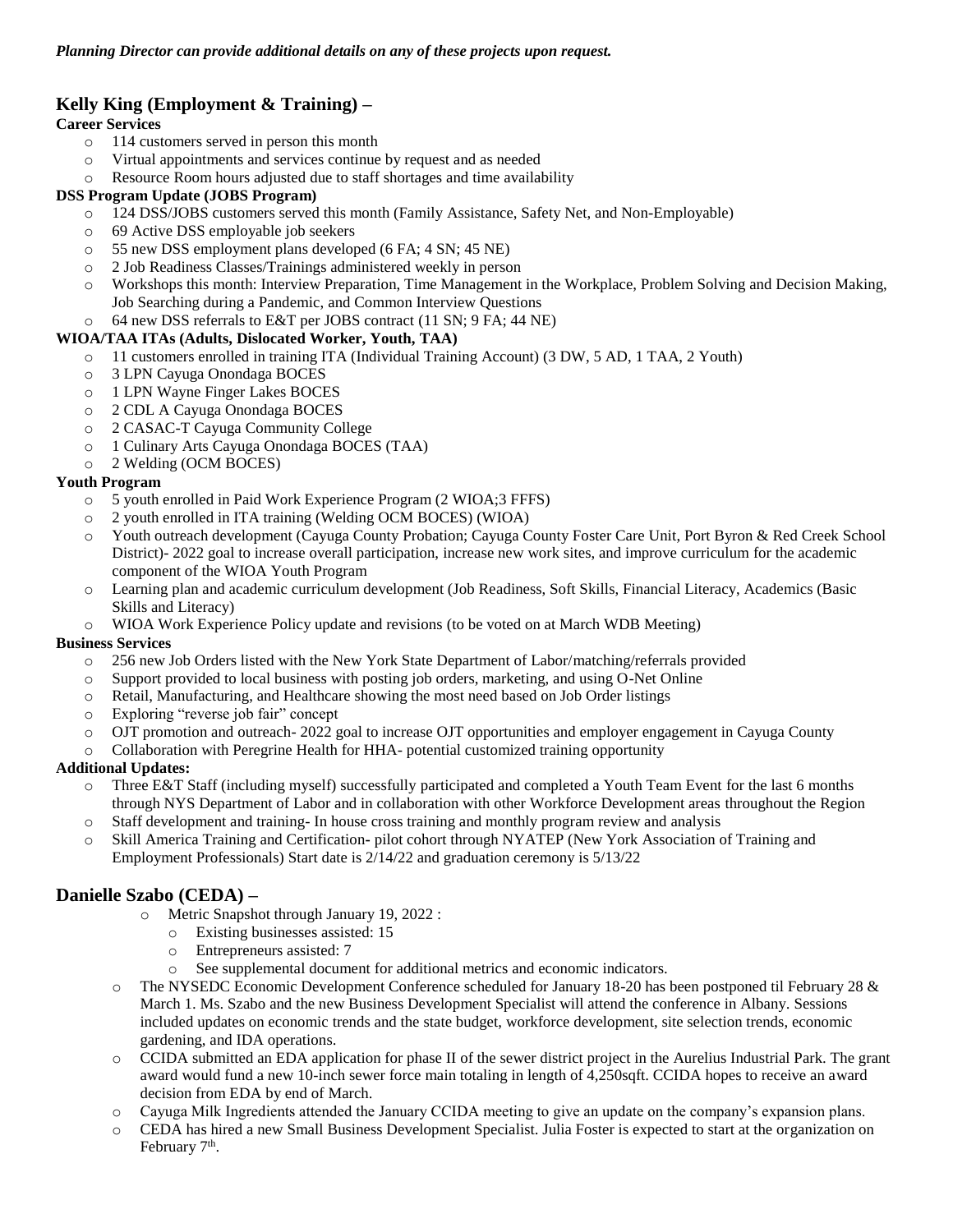# **Kelly King (Employment & Training) –**

# **Career Services**

- o 114 customers served in person this month
- o Virtual appointments and services continue by request and as needed
- o Resource Room hours adjusted due to staff shortages and time availability

### **DSS Program Update (JOBS Program)**

- o 124 DSS/JOBS customers served this month (Family Assistance, Safety Net, and Non-Employable)
- o 69 Active DSS employable job seekers
- o 55 new DSS employment plans developed (6 FA; 4 SN; 45 NE)
- o 2 Job Readiness Classes/Trainings administered weekly in person
- o Workshops this month: Interview Preparation, Time Management in the Workplace, Problem Solving and Decision Making, Job Searching during a Pandemic, and Common Interview Questions
- o 64 new DSS referrals to E&T per JOBS contract (11 SN; 9 FA; 44 NE)

### **WIOA/TAA ITAs (Adults, Dislocated Worker, Youth, TAA)**

- o 11 customers enrolled in training ITA (Individual Training Account) (3 DW, 5 AD, 1 TAA, 2 Youth)
- o 3 LPN Cayuga Onondaga BOCES
- o 1 LPN Wayne Finger Lakes BOCES
- o 2 CDL A Cayuga Onondaga BOCES
- o 2 CASAC-T Cayuga Community College
- o 1 Culinary Arts Cayuga Onondaga BOCES (TAA)
- o 2 Welding (OCM BOCES)

### **Youth Program**

- o 5 youth enrolled in Paid Work Experience Program (2 WIOA;3 FFFS)
- o 2 youth enrolled in ITA training (Welding OCM BOCES) (WIOA)
- o Youth outreach development (Cayuga County Probation; Cayuga County Foster Care Unit, Port Byron & Red Creek School District)- 2022 goal to increase overall participation, increase new work sites, and improve curriculum for the academic component of the WIOA Youth Program
- o Learning plan and academic curriculum development (Job Readiness, Soft Skills, Financial Literacy, Academics (Basic Skills and Literacy)
- o WIOA Work Experience Policy update and revisions (to be voted on at March WDB Meeting)

# **Business Services**

- o 256 new Job Orders listed with the New York State Department of Labor/matching/referrals provided
- o Support provided to local business with posting job orders, marketing, and using O-Net Online
- o Retail, Manufacturing, and Healthcare showing the most need based on Job Order listings
- o Exploring "reverse job fair" concept
- o OJT promotion and outreach- 2022 goal to increase OJT opportunities and employer engagement in Cayuga County
- o Collaboration with Peregrine Health for HHA- potential customized training opportunity

# **Additional Updates:**

- o Three E&T Staff (including myself) successfully participated and completed a Youth Team Event for the last 6 months through NYS Department of Labor and in collaboration with other Workforce Development areas throughout the Region
- o Staff development and training- In house cross training and monthly program review and analysis
- o Skill America Training and Certification**-** pilot cohort through NYATEP (New York Association of Training and Employment Professionals) Start date is 2/14/22 and graduation ceremony is 5/13/22

# **Danielle Szabo (CEDA) –**

- o Metric Snapshot through January 19, 2022 :
	- o Existing businesses assisted: 15
	- o Entrepreneurs assisted: 7
	- o See supplemental document for additional metrics and economic indicators.
- o The NYSEDC Economic Development Conference scheduled for January 18-20 has been postponed til February 28 & March 1. Ms. Szabo and the new Business Development Specialist will attend the conference in Albany. Sessions included updates on economic trends and the state budget, workforce development, site selection trends, economic gardening, and IDA operations.
- o CCIDA submitted an EDA application for phase II of the sewer district project in the Aurelius Industrial Park. The grant award would fund a new 10-inch sewer force main totaling in length of 4,250sqft. CCIDA hopes to receive an award decision from EDA by end of March.
- Cayuga Milk Ingredients attended the January CCIDA meeting to give an update on the company's expansion plans.
- o CEDA has hired a new Small Business Development Specialist. Julia Foster is expected to start at the organization on February 7<sup>th</sup>.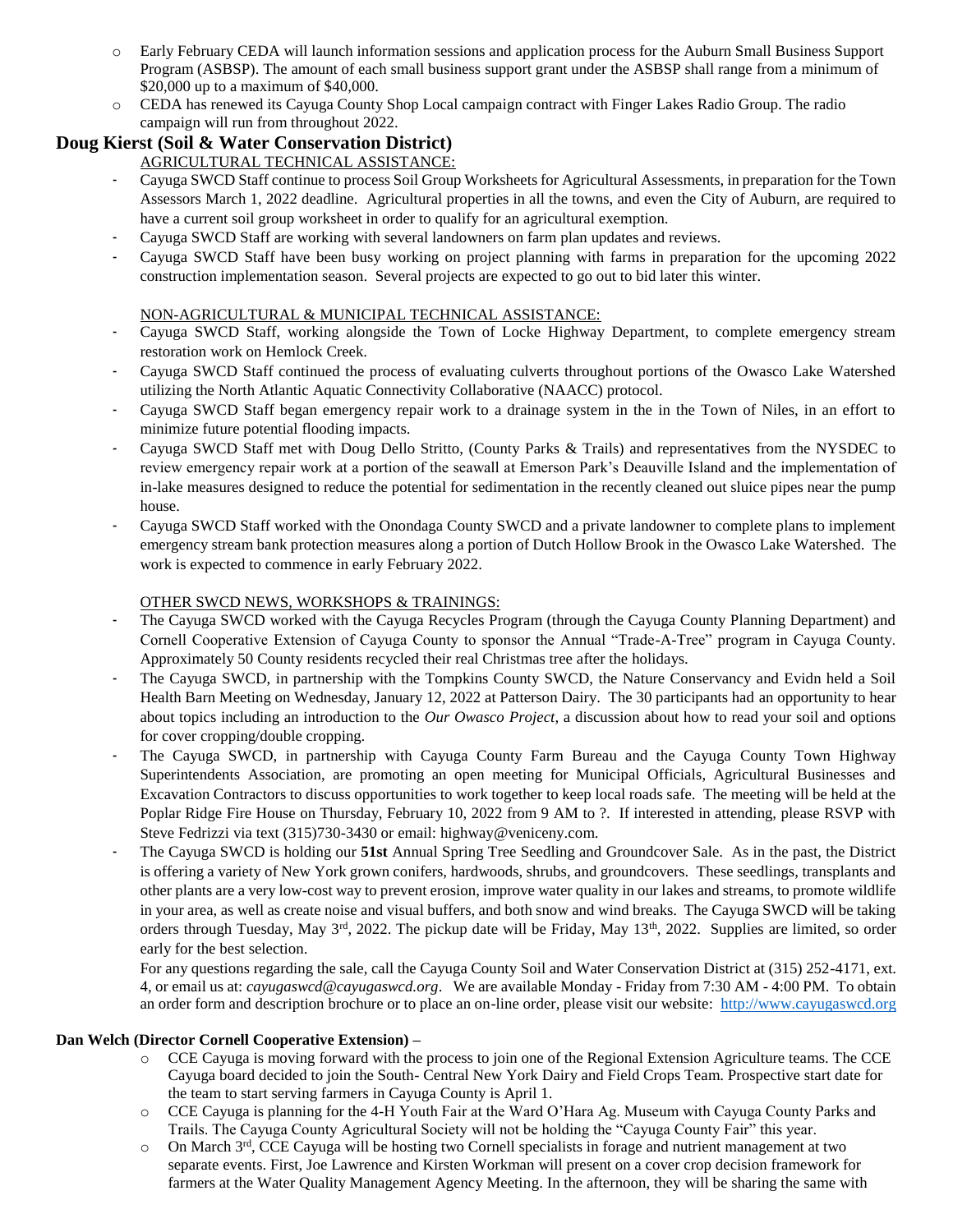- o Early February CEDA will launch information sessions and application process for the Auburn Small Business Support Program (ASBSP). The amount of each small business support grant under the ASBSP shall range from a minimum of \$20,000 up to a maximum of \$40,000.
- o CEDA has renewed its Cayuga County Shop Local campaign contract with Finger Lakes Radio Group. The radio campaign will run from throughout 2022.

# **Doug Kierst (Soil & Water Conservation District)**

# AGRICULTURAL TECHNICAL ASSISTANCE:

- Cayuga SWCD Staff continue to process Soil Group Worksheets for Agricultural Assessments, in preparation for the Town Assessors March 1, 2022 deadline. Agricultural properties in all the towns, and even the City of Auburn, are required to have a current soil group worksheet in order to qualify for an agricultural exemption.
- Cayuga SWCD Staff are working with several landowners on farm plan updates and reviews.
- Cayuga SWCD Staff have been busy working on project planning with farms in preparation for the upcoming 2022 construction implementation season. Several projects are expected to go out to bid later this winter.

# NON-AGRICULTURAL & MUNICIPAL TECHNICAL ASSISTANCE:

- Cayuga SWCD Staff, working alongside the Town of Locke Highway Department, to complete emergency stream restoration work on Hemlock Creek.
- Cayuga SWCD Staff continued the process of evaluating culverts throughout portions of the Owasco Lake Watershed utilizing the North Atlantic Aquatic Connectivity Collaborative (NAACC) protocol.
- Cayuga SWCD Staff began emergency repair work to a drainage system in the in the Town of Niles, in an effort to minimize future potential flooding impacts.
- Cayuga SWCD Staff met with Doug Dello Stritto, (County Parks & Trails) and representatives from the NYSDEC to review emergency repair work at a portion of the seawall at Emerson Park's Deauville Island and the implementation of in-lake measures designed to reduce the potential for sedimentation in the recently cleaned out sluice pipes near the pump house.
- Cayuga SWCD Staff worked with the Onondaga County SWCD and a private landowner to complete plans to implement emergency stream bank protection measures along a portion of Dutch Hollow Brook in the Owasco Lake Watershed. The work is expected to commence in early February 2022.

# OTHER SWCD NEWS, WORKSHOPS & TRAININGS:

- The Cayuga SWCD worked with the Cayuga Recycles Program (through the Cayuga County Planning Department) and Cornell Cooperative Extension of Cayuga County to sponsor the Annual "Trade-A-Tree" program in Cayuga County. Approximately 50 County residents recycled their real Christmas tree after the holidays.
- The Cayuga SWCD, in partnership with the Tompkins County SWCD, the Nature Conservancy and Evidn held a Soil Health Barn Meeting on Wednesday, January 12, 2022 at Patterson Dairy. The 30 participants had an opportunity to hear about topics including an introduction to the *Our Owasco Project*, a discussion about how to read your soil and options for cover cropping/double cropping.
- The Cayuga SWCD, in partnership with Cayuga County Farm Bureau and the Cayuga County Town Highway Superintendents Association, are promoting an open meeting for Municipal Officials, Agricultural Businesses and Excavation Contractors to discuss opportunities to work together to keep local roads safe. The meeting will be held at the Poplar Ridge Fire House on Thursday, February 10, 2022 from 9 AM to ?. If interested in attending, please RSVP with Steve Fedrizzi via text (315)730-3430 or email: highway@veniceny.com.
- The Cayuga SWCD is holding our **51st** Annual Spring Tree Seedling and Groundcover Sale. As in the past, the District is offering a variety of New York grown conifers, hardwoods, shrubs, and groundcovers. These seedlings, transplants and other plants are a very low-cost way to prevent erosion, improve water quality in our lakes and streams, to promote wildlife in your area, as well as create noise and visual buffers, and both snow and wind breaks. The Cayuga SWCD will be taking orders through Tuesday, May  $3^{rd}$ , 2022. The pickup date will be Friday, May  $13^{th}$ , 2022. Supplies are limited, so order early for the best selection.

For any questions regarding the sale, call the Cayuga County Soil and Water Conservation District at (315) 252-4171, ext. 4, or email us at: *cayugaswcd@cayugaswcd.org*. We are available Monday - Friday from 7:30 AM - 4:00 PM. To obtain an order form and description brochure or to place an on-line order, please visit our website: [http://www.cayugaswcd.org](http://www.cayugaswcd.org/)

# **Dan Welch (Director Cornell Cooperative Extension) –**

- o CCE Cayuga is moving forward with the process to join one of the Regional Extension Agriculture teams. The CCE Cayuga board decided to join the South- Central New York Dairy and Field Crops Team. Prospective start date for the team to start serving farmers in Cayuga County is April 1.
- o CCE Cayuga is planning for the 4-H Youth Fair at the Ward O'Hara Ag. Museum with Cayuga County Parks and Trails. The Cayuga County Agricultural Society will not be holding the "Cayuga County Fair" this year.
- $\circ$  On March 3<sup>rd</sup>, CCE Cayuga will be hosting two Cornell specialists in forage and nutrient management at two separate events. First, Joe Lawrence and Kirsten Workman will present on a cover crop decision framework for farmers at the Water Quality Management Agency Meeting. In the afternoon, they will be sharing the same with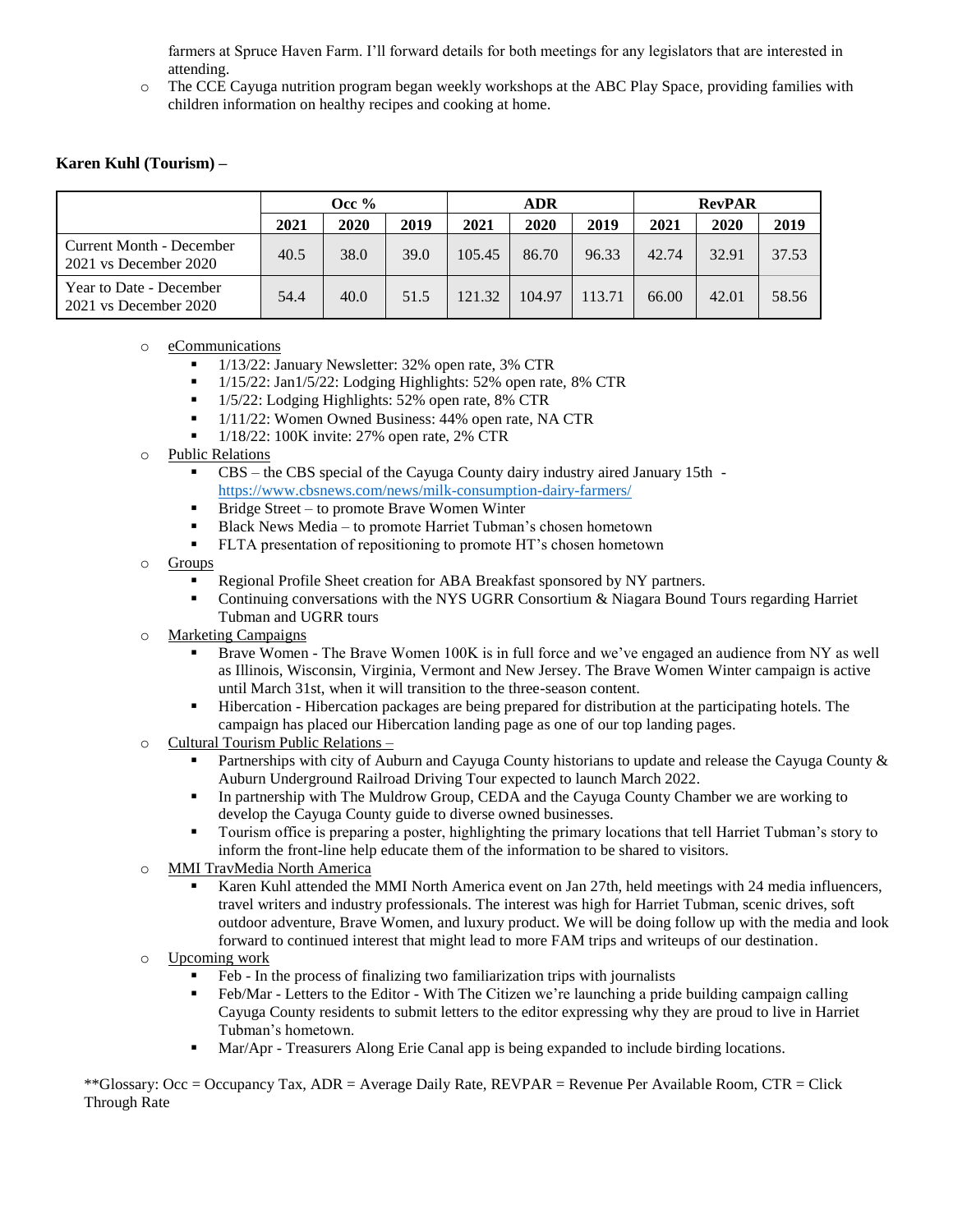farmers at Spruce Haven Farm. I'll forward details for both meetings for any legislators that are interested in attending.

o The CCE Cayuga nutrition program began weekly workshops at the ABC Play Space, providing families with children information on healthy recipes and cooking at home.

### **Karen Kuhl (Tourism) –**

|                                                   | Occ $%$ |      |      | ADR    |        |        | <b>RevPAR</b> |       |       |
|---------------------------------------------------|---------|------|------|--------|--------|--------|---------------|-------|-------|
|                                                   | 2021    | 2020 | 2019 | 2021   | 2020   | 2019   | 2021          | 2020  | 2019  |
| Current Month - December<br>2021 vs December 2020 | 40.5    | 38.0 | 39.0 | 105.45 | 86.70  | 96.33  | 42.74         | 32.91 | 37.53 |
| Year to Date - December<br>2021 vs December 2020  | 54.4    | 40.0 | 51.5 | 121.32 | 104.97 | 113.71 | 66.00         | 42.01 | 58.56 |

### o eCommunications

- 1/13/22: January Newsletter: 32% open rate, 3% CTR
- <sup>1</sup>/15/22: Jan1/5/22: Lodging Highlights: 52% open rate, 8% CTR
- 1/5/22: Lodging Highlights: 52% open rate, 8% CTR
- $1/11/22$ : Women Owned Business: 44% open rate, NA CTR
- $1/18/22$ : 100K invite: 27% open rate, 2% CTR
- o Public Relations
	- CBS the CBS special of the Cayuga County dairy industry aired January 15th <https://www.cbsnews.com/news/milk-consumption-dairy-farmers/>
	- Bridge Street to promote Brave Women Winter
	- Black News Media to promote Harriet Tubman's chosen hometown
	- FLTA presentation of repositioning to promote HT's chosen hometown
- o Groups
	- Regional Profile Sheet creation for ABA Breakfast sponsored by NY partners.
	- Continuing conversations with the NYS UGRR Consortium & Niagara Bound Tours regarding Harriet Tubman and UGRR tours
- o Marketing Campaigns
	- Brave Women The Brave Women 100K is in full force and we've engaged an audience from NY as well as Illinois, Wisconsin, Virginia, Vermont and New Jersey. The Brave Women Winter campaign is active until March 31st, when it will transition to the three-season content.
	- Hibercation Hibercation packages are being prepared for distribution at the participating hotels. The campaign has placed our Hibercation landing page as one of our top landing pages.
- o Cultural Tourism Public Relations
	- **Partnerships with city of Auburn and Cayuga County historians to update and release the Cayuga County**  $\&$ Auburn Underground Railroad Driving Tour expected to launch March 2022.
	- In partnership with The Muldrow Group, CEDA and the Cayuga County Chamber we are working to develop the Cayuga County guide to diverse owned businesses.
	- Tourism office is preparing a poster, highlighting the primary locations that tell Harriet Tubman's story to inform the front-line help educate them of the information to be shared to visitors.
- o MMI TravMedia North America
	- Karen Kuhl attended the MMI North America event on Jan 27th, held meetings with 24 media influencers, travel writers and industry professionals. The interest was high for Harriet Tubman, scenic drives, soft outdoor adventure, Brave Women, and luxury product. We will be doing follow up with the media and look forward to continued interest that might lead to more FAM trips and writeups of our destination.
- o Upcoming work
	- Feb In the process of finalizing two familiarization trips with journalists
	- Feb/Mar Letters to the Editor With The Citizen we're launching a pride building campaign calling Cayuga County residents to submit letters to the editor expressing why they are proud to live in Harriet Tubman's hometown.
	- Mar/Apr Treasurers Along Erie Canal app is being expanded to include birding locations.

\*\*Glossary: Occ = Occupancy Tax, ADR = Average Daily Rate, REVPAR = Revenue Per Available Room, CTR = Click Through Rate